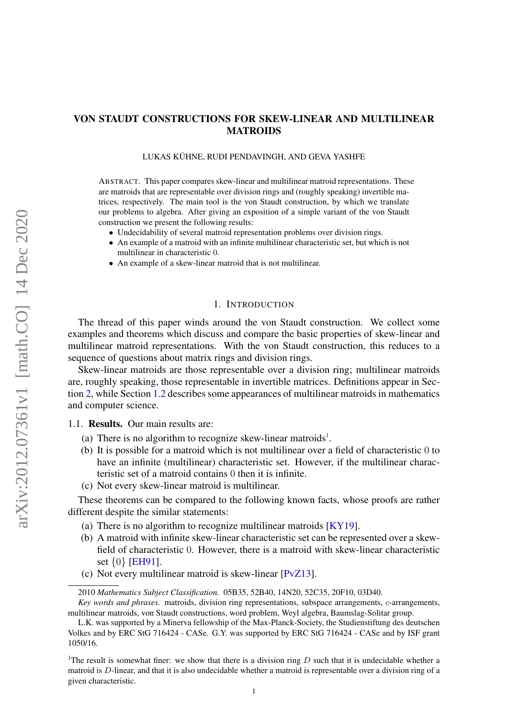# <span id="page-0-1"></span><span id="page-0-0"></span>VON STAUDT CONSTRUCTIONS FOR SKEW-LINEAR AND MULTILINEAR MATROIDS

#### LUKAS KÜHNE, RUDI PENDAVINGH, AND GEVA YASHFE

ABSTRACT. This paper compares skew-linear and multilinear matroid representations. These are matroids that are representable over division rings and (roughly speaking) invertible matrices, respectively. The main tool is the von Staudt construction, by which we translate our problems to algebra. After giving an exposition of a simple variant of the von Staudt construction we present the following results:

- Undecidability of several matroid representation problems over division rings.
- An example of a matroid with an infinite multilinear characteristic set, but which is not multilinear in characteristic 0.
- An example of a skew-linear matroid that is not multilinear.

## 1. INTRODUCTION

The thread of this paper winds around the von Staudt construction. We collect some examples and theorems which discuss and compare the basic properties of skew-linear and multilinear matroid representations. With the von Staudt construction, this reduces to a sequence of questions about matrix rings and division rings.

Skew-linear matroids are those representable over a division ring; multilinear matroids are, roughly speaking, those representable in invertible matrices. Definitions appear in Section [2,](#page-2-0) while Section [1.2](#page-1-0) describes some appearances of multilinear matroids in mathematics and computer science.

### 1.1. Results. Our main results are:

- (a) There is no algorithm to recognize skew-linear matroids<sup>1</sup>.
- (b) It is possible for a matroid which is not multilinear over a field of characteristic 0 to have an infinite (multilinear) characteristic set. However, if the multilinear characteristic set of a matroid contains 0 then it is infinite.
- (c) Not every skew-linear matroid is multilinear.

These theorems can be compared to the following known facts, whose proofs are rather different despite the similar statements:

- (a) There is no algorithm to recognize multilinear matroids  $[KY19]$ .
- (b) A matroid with infinite skew-linear characteristic set can be represented over a skewfield of characteristic 0. However, there is a matroid with skew-linear characteristic set {0} [\[EH91\]](#page-17-0).
- (c) Not every multilinear matroid is skew-linear [\[PvZ13\]](#page-18-1).

<sup>2010</sup> *Mathematics Subject Classification.* 05B35, 52B40, 14N20, 52C35, 20F10, 03D40.

*Key words and phrases.* matroids, division ring representations, subspace arrangements, c-arrangements, multilinear matroids, von Staudt constructions, word problem, Weyl algebra, Baumslag-Solitar group.

L.K. was supported by a Minerva fellowship of the Max-Planck-Society, the Studienstiftung des deutschen Volkes and by ERC StG 716424 - CASe. G.Y. was supported by ERC StG 716424 - CASe and by ISF grant 1050/16.

<sup>&</sup>lt;sup>1</sup>The result is somewhat finer: we show that there is a division ring  $D$  such that it is undecidable whether a matroid is  $D$ -linear, and that it is also undecidable whether a matroid is representable over a division ring of a given characteristic.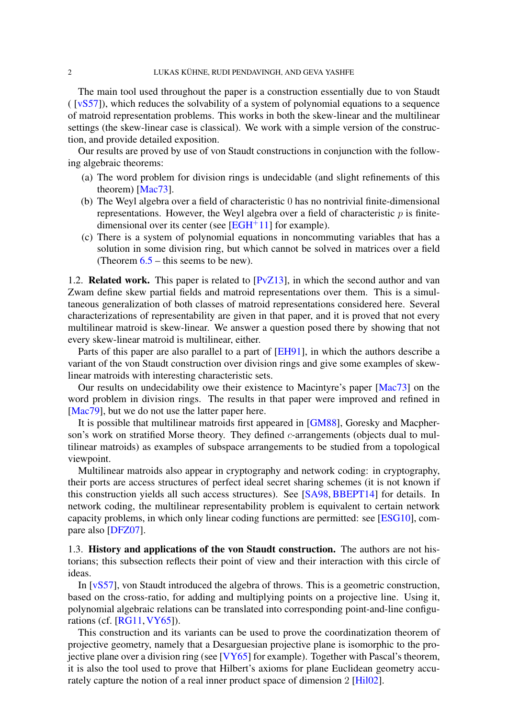<span id="page-1-1"></span>The main tool used throughout the paper is a construction essentially due to von Staudt ( [\[vS57\]](#page-18-2)), which reduces the solvability of a system of polynomial equations to a sequence of matroid representation problems. This works in both the skew-linear and the multilinear settings (the skew-linear case is classical). We work with a simple version of the construction, and provide detailed exposition.

Our results are proved by use of von Staudt constructions in conjunction with the following algebraic theorems:

- (a) The word problem for division rings is undecidable (and slight refinements of this theorem) [\[Mac73\]](#page-18-3).
- (b) The Weyl algebra over a field of characteristic 0 has no nontrivial finite-dimensional representations. However, the Weyl algebra over a field of characteristic  $p$  is finitedimensional over its center (see  $[EGH^+11]$  $[EGH^+11]$  for example).
- (c) There is a system of polynomial equations in noncommuting variables that has a solution in some division ring, but which cannot be solved in matrices over a field (Theorem  $6.5$  – this seems to be new).

<span id="page-1-0"></span>1.2. **Related work.** This paper is related to  $[PvZ13]$ , in which the second author and van Zwam define skew partial fields and matroid representations over them. This is a simultaneous generalization of both classes of matroid representations considered here. Several characterizations of representability are given in that paper, and it is proved that not every multilinear matroid is skew-linear. We answer a question posed there by showing that not every skew-linear matroid is multilinear, either.

Parts of this paper are also parallel to a part of [\[EH91\]](#page-17-0), in which the authors describe a variant of the von Staudt construction over division rings and give some examples of skewlinear matroids with interesting characteristic sets.

Our results on undecidability owe their existence to Macintyre's paper [\[Mac73\]](#page-18-3) on the word problem in division rings. The results in that paper were improved and refined in [\[Mac79\]](#page-18-4), but we do not use the latter paper here.

It is possible that multilinear matroids first appeared in [\[GM88\]](#page-18-5), Goresky and Macpherson's work on stratified Morse theory. They defined *c*-arrangements (objects dual to multilinear matroids) as examples of subspace arrangements to be studied from a topological viewpoint.

Multilinear matroids also appear in cryptography and network coding: in cryptography, their ports are access structures of perfect ideal secret sharing schemes (it is not known if this construction yields all such access structures). See [\[SA98,](#page-18-6) [BBEPT14\]](#page-17-2) for details. In network coding, the multilinear representability problem is equivalent to certain network capacity problems, in which only linear coding functions are permitted: see [\[ESG10\]](#page-18-7), compare also [\[DFZ07\]](#page-17-3).

1.3. History and applications of the von Staudt construction. The authors are not historians; this subsection reflects their point of view and their interaction with this circle of ideas.

In [\[vS57\]](#page-18-2), von Staudt introduced the algebra of throws. This is a geometric construction, based on the cross-ratio, for adding and multiplying points on a projective line. Using it, polynomial algebraic relations can be translated into corresponding point-and-line configurations (cf. [\[RG11,](#page-18-8)[VY65\]](#page-18-9)).

This construction and its variants can be used to prove the coordinatization theorem of projective geometry, namely that a Desarguesian projective plane is isomorphic to the projective plane over a division ring (see [\[VY65\]](#page-18-9) for example). Together with Pascal's theorem, it is also the tool used to prove that Hilbert's axioms for plane Euclidean geometry accurately capture the notion of a real inner product space of dimension 2 [\[Hil02\]](#page-18-10).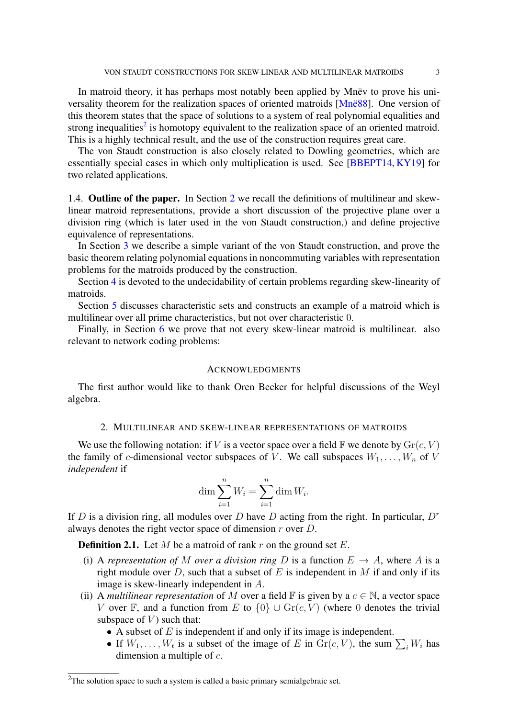<span id="page-2-1"></span>In matroid theory, it has perhaps most notably been applied by Mnëv to prove his universality theorem for the realization spaces of oriented matroids [\[Mnë88\]](#page-18-11). One version of this theorem states that the space of solutions to a system of real polynomial equalities and strong inequalities<sup>[2](#page-0-0)</sup> is homotopy equivalent to the realization space of an oriented matroid. This is a highly technical result, and the use of the construction requires great care.

The von Staudt construction is also closely related to Dowling geometries, which are essentially special cases in which only multiplication is used. See [\[BBEPT14,](#page-17-2) [KY19\]](#page-18-0) for two related applications.

1.4. Outline of the paper. In Section [2](#page-2-0) we recall the definitions of multilinear and skewlinear matroid representations, provide a short discussion of the projective plane over a division ring (which is later used in the von Staudt construction,) and define projective equivalence of representations.

In Section [3](#page-5-0) we describe a simple variant of the von Staudt construction, and prove the basic theorem relating polynomial equations in noncommuting variables with representation problems for the matroids produced by the construction.

Section [4](#page-10-0) is devoted to the undecidability of certain problems regarding skew-linearity of matroids.

Section [5](#page-12-0) discusses characteristic sets and constructs an example of a matroid which is multilinear over all prime characteristics, but not over characteristic 0.

Finally, in Section [6](#page-15-0) we prove that not every skew-linear matroid is multilinear. also relevant to network coding problems:

## **ACKNOWLEDGMENTS**

The first author would like to thank Oren Becker for helpful discussions of the Weyl algebra.

## 2. MULTILINEAR AND SKEW-LINEAR REPRESENTATIONS OF MATROIDS

<span id="page-2-0"></span>We use the following notation: if V is a vector space over a field  $\mathbb F$  we denote by  $\text{Gr}(c, V)$ the family of c-dimensional vector subspaces of V. We call subspaces  $W_1, \ldots, W_n$  of V *independent* if

$$
\dim \sum_{i=1}^{n} W_i = \sum_{i=1}^{n} \dim W_i.
$$

If D is a division ring, all modules over D have D acting from the right. In particular,  $D<sup>r</sup>$ always denotes the right vector space of dimension  $r$  over  $D$ .

**Definition 2.1.** Let M be a matroid of rank r on the ground set  $E$ .

- (i) A *representation of* M *over a division ring* D is a function  $E \rightarrow A$ , where A is a right module over  $D$ , such that a subset of  $E$  is independent in  $M$  if and only if its image is skew-linearly independent in A.
- (ii) A *multilinear representation* of M over a field  $\mathbb F$  is given by a  $c \in \mathbb N$ , a vector space V over F, and a function from E to  $\{0\} \cup \text{Gr}(c, V)$  (where 0 denotes the trivial subspace of  $V$ ) such that:
	- A subset of  $E$  is independent if and only if its image is independent.
	- If  $W_1, \ldots, W_t$  is a subset of the image of E in  $\text{Gr}(c, V)$ , the sum  $\sum_i W_i$  has dimension a multiple of  $c$ .

 $2$ The solution space to such a system is called a basic primary semialgebraic set.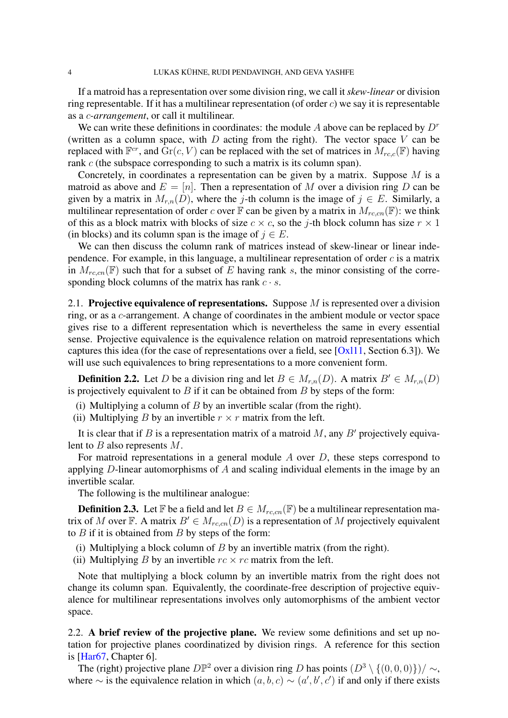<span id="page-3-0"></span>If a matroid has a representation over some division ring, we call it *skew-linear* or division ring representable. If it has a multilinear representation (of order  $c$ ) we say it is representable as a c*-arrangement*, or call it multilinear.

We can write these definitions in coordinates: the module A above can be replaced by  $D<sup>r</sup>$ (written as a column space, with  $D$  acting from the right). The vector space  $V$  can be replaced with  $\mathbb{F}^{cr}$ , and  $\text{Gr}(c, V)$  can be replaced with the set of matrices in  $\hat{M}_{rc,c}(\mathbb{F})$  having rank c (the subspace corresponding to such a matrix is its column span).

Concretely, in coordinates a representation can be given by a matrix. Suppose  $M$  is a matroid as above and  $E = [n]$ . Then a representation of M over a division ring D can be given by a matrix in  $M_{r,n}(D)$ , where the j-th column is the image of  $j \in E$ . Similarly, a multilinear representation of order c over  $\mathbb F$  can be given by a matrix in  $M_{r,c,n}(\mathbb F)$ : we think of this as a block matrix with blocks of size  $c \times c$ , so the j-th block column has size  $r \times 1$ (in blocks) and its column span is the image of  $j \in E$ .

We can then discuss the column rank of matrices instead of skew-linear or linear independence. For example, in this language, a multilinear representation of order  $c$  is a matrix in  $M_{r,c,n}(\mathbb{F})$  such that for a subset of E having rank s, the minor consisting of the corresponding block columns of the matrix has rank  $c \cdot s$ .

2.1. Projective equivalence of representations. Suppose M is represented over a division ring, or as a c-arrangement. A change of coordinates in the ambient module or vector space gives rise to a different representation which is nevertheless the same in every essential sense. Projective equivalence is the equivalence relation on matroid representations which captures this idea (for the case of representations over a field, see  $[Ox111, Section 6.3]$ ). We will use such equivalences to bring representations to a more convenient form.

**Definition 2.2.** Let D be a division ring and let  $B \in M_{r,n}(D)$ . A matrix  $B' \in M_{r,n}(D)$ is projectively equivalent to  $B$  if it can be obtained from  $B$  by steps of the form:

- (i) Multiplying a column of  $B$  by an invertible scalar (from the right).
- (ii) Multiplying B by an invertible  $r \times r$  matrix from the left.

It is clear that if B is a representation matrix of a matroid M, any B' projectively equivalent to  $B$  also represents  $M$ .

For matroid representations in a general module  $A$  over  $D$ , these steps correspond to applying  $D$ -linear automorphisms of  $A$  and scaling individual elements in the image by an invertible scalar.

The following is the multilinear analogue:

**Definition 2.3.** Let F be a field and let  $B \in M_{r,c,cn}(\mathbb{F})$  be a multilinear representation matrix of M over F. A matrix  $B' \in M_{r,c,n}(D)$  is a representation of M projectively equivalent to  $B$  if it is obtained from  $B$  by steps of the form:

- (i) Multiplying a block column of  $B$  by an invertible matrix (from the right).
- (ii) Multiplying B by an invertible  $rc \times rc$  matrix from the left.

Note that multiplying a block column by an invertible matrix from the right does not change its column span. Equivalently, the coordinate-free description of projective equivalence for multilinear representations involves only automorphisms of the ambient vector space.

2.2. A brief review of the projective plane. We review some definitions and set up notation for projective planes coordinatized by division rings. A reference for this section is [\[Har67,](#page-18-13) Chapter 6].

The (right) projective plane  $D\mathbb{P}^2$  over a division ring D has points  $(D^3 \setminus \{(0,0,0)\})/\sim$ , where  $\sim$  is the equivalence relation in which  $(a, b, c) \sim (a', b', c')$  if and only if there exists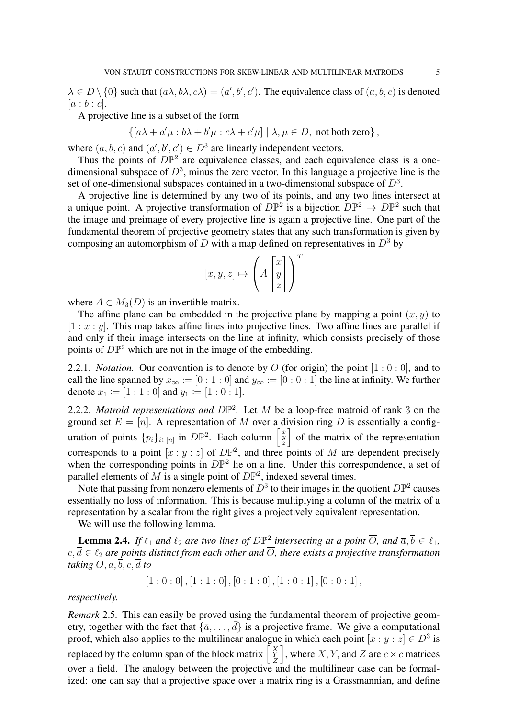$\lambda \in D \setminus \{0\}$  such that  $(a\lambda, b\lambda, c\lambda) = (a', b', c')$ . The equivalence class of  $(a, b, c)$  is denoted  $[a:b:c]$ .

A projective line is a subset of the form

 $\{[a\lambda + a'\mu : b\lambda + b'\mu : c\lambda + c'\mu] | \lambda, \mu \in D$ , not both zero},

where  $(a, b, c)$  and  $(a', b', c') \in D^3$  are linearly independent vectors.

Thus the points of  $D\mathbb{P}^2$  are equivalence classes, and each equivalence class is a onedimensional subspace of  $D^3$ , minus the zero vector. In this language a projective line is the set of one-dimensional subspaces contained in a two-dimensional subspace of  $D^3$ .

A projective line is determined by any two of its points, and any two lines intersect at a unique point. A projective transformation of  $D\mathbb{P}^2$  is a bijection  $D\mathbb{P}^2 \to D\mathbb{P}^2$  such that the image and preimage of every projective line is again a projective line. One part of the fundamental theorem of projective geometry states that any such transformation is given by composing an automorphism of  $D$  with a map defined on representatives in  $D^3$  by

$$
[x, y, z] \mapsto \left(A \begin{bmatrix} x \\ y \\ z \end{bmatrix} \right)
$$

T

where  $A \in M_3(D)$  is an invertible matrix.

The affine plane can be embedded in the projective plane by mapping a point  $(x, y)$  to  $[1 : x : y]$ . This map takes affine lines into projective lines. Two affine lines are parallel if and only if their image intersects on the line at infinity, which consists precisely of those points of  $D\mathbb{P}^2$  which are not in the image of the embedding.

2.2.1. *Notation.* Our convention is to denote by O (for origin) the point  $[1:0:0]$ , and to call the line spanned by  $x_{\infty} := [0:1:0]$  and  $y_{\infty} := [0:0:1]$  the line at infinity. We further denote  $x_1 \coloneqq [1:1:0]$  and  $y_1 \coloneqq [1:0:1]$ .

2.2.2. *Matroid representations and*  $D\mathbb{P}^2$ *.* Let M be a loop-free matroid of rank 3 on the ground set  $E = [n]$ . A representation of M over a division ring D is essentially a configuration of points  $\{p_i\}_{i \in [n]}$  in  $D\mathbb{P}^2$ . Each column  $\begin{bmatrix} x \\ y \end{bmatrix}$ of the matrix of the representation corresponds to a point  $[x:y:z]$  of  $D\mathbb{P}^2$ , and three points of M are dependent precisely when the corresponding points in  $D\mathbb{P}^2$  lie on a line. Under this correspondence, a set of parallel elements of M is a single point of  $D\mathbb{P}^2$ , indexed several times.

Note that passing from nonzero elements of  $D^3$  to their images in the quotient  $D\mathbb{P}^2$  causes essentially no loss of information. This is because multiplying a column of the matrix of a representation by a scalar from the right gives a projectively equivalent representation.

We will use the following lemma.

<span id="page-4-0"></span>**Lemma 2.4.** If  $\ell_1$  and  $\ell_2$  are two lines of  $D \mathbb{P}^2$  intersecting at a point  $\overline{O}$ , and  $\overline{a}, \overline{b} \in \ell_1$ ,  $\overline{c}, \overline{d} \in \ell_2$  are points distinct from each other and  $\overline{O}$ , there exists a projective transformation *taking*  $\overline{O}$ ,  $\overline{a}$ ,  $\overline{b}$ ,  $\overline{c}$ ,  $\overline{d}$  *to* 

 $[1:0:0], [1:1:0], [0:1:0], [1:0:1], [0:0:1],$ 

*respectively.*

<span id="page-4-1"></span>*Remark* 2.5*.* This can easily be proved using the fundamental theorem of projective geometry, together with the fact that  $\{\bar{a}, \ldots, \bar{d}\}$  is a projective frame. We give a computational proof, which also applies to the multilinear analogue in which each point  $[x : y : z] \in D^3$  is replaced by the column span of the block matrix  $\begin{bmatrix} X \\ Y \\ Z \end{bmatrix}$ where  $X, Y$ , and  $Z$  are  $c \times c$  matrices over a field. The analogy between the projective and the multilinear case can be formalized: one can say that a projective space over a matrix ring is a Grassmannian, and define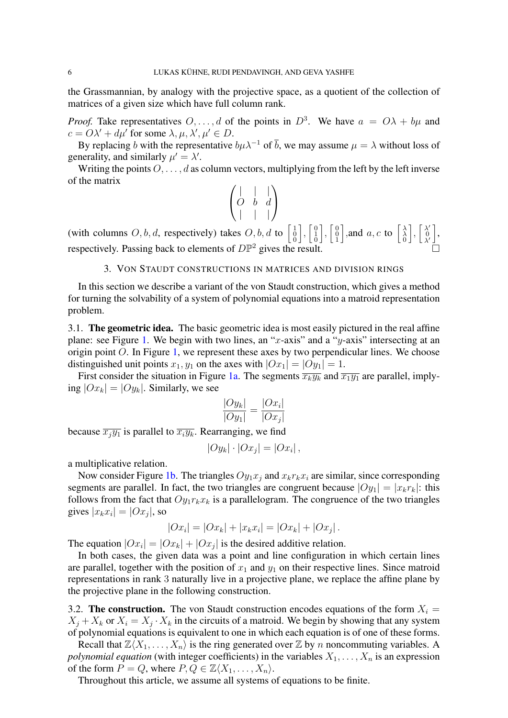the Grassmannian, by analogy with the projective space, as a quotient of the collection of matrices of a given size which have full column rank.

*Proof.* Take representatives  $O, \ldots, d$  of the points in  $D^3$ . We have  $a = O\lambda + b\mu$  and  $c = O\lambda' + d\mu'$  for some  $\lambda, \mu, \lambda', \mu' \in D$ .

By replacing b with the representative  $b\mu\lambda^{-1}$  of  $\bar{b}$ , we may assume  $\mu = \lambda$  without loss of generality, and similarly  $\mu' = \lambda'$ .

Writing the points  $O, \ldots, d$  as column vectors, multiplying from the left by the left inverse of the matrix

$$
\begin{pmatrix} | & | & | \\ O & b & d \\ | & | & | \end{pmatrix}
$$

(with columns O, b, d, respectively) takes O, b, d to  $\begin{bmatrix} 1 \\ 0 \\ 0 \end{bmatrix}$  $\Big], \Big[ \begin{smallmatrix} 0 \ 1 \ 1 \ 0 \end{smallmatrix}$  $\Big], \Big[ \begin{smallmatrix} 0 \ 0 \ 1 \end{smallmatrix}$ ], and a, c to  $\begin{bmatrix} \lambda \\ \lambda \\ 0 \end{bmatrix}$  $\Big\}$ ,  $\Big\}$   $\Big\{$ <sup> $\lambda'$ </sup>  $\begin{bmatrix} \lambda'\\ 0\\ \lambda' \end{bmatrix}$ respectively. Passing back to elements of  $D\mathbb{P}^2$  gives the result.

## 3. VON STAUDT CONSTRUCTIONS IN MATRICES AND DIVISION RINGS

<span id="page-5-0"></span>In this section we describe a variant of the von Staudt construction, which gives a method for turning the solvability of a system of polynomial equations into a matroid representation problem.

3.1. The geometric idea. The basic geometric idea is most easily pictured in the real affine plane: see Figure [1.](#page-6-0) We begin with two lines, an "x-axis" and a "y-axis" intersecting at an origin point  $O$ . In Figure [1,](#page-6-0) we represent these axes by two perpendicular lines. We choose distinguished unit points  $x_1, y_1$  on the axes with  $|Ox_1| = |Oy_1| = 1$ .

First consider the situation in Figure [1a.](#page-6-0) The segments  $\overline{x_ky_k}$  and  $\overline{x_1y_1}$  are parallel, implying  $|Ox_k| = |Oy_k|$ . Similarly, we see

$$
\frac{|Oy_k|}{|Oy_1|} = \frac{|Ox_i|}{|Ox_j|}
$$

because  $\overline{x_iy_1}$  is parallel to  $\overline{x_iy_k}$ . Rearranging, we find

$$
|Oy_k|\cdot|Ox_j|=|Ox_i|,
$$

a multiplicative relation.

Now consider Figure [1b.](#page-6-0) The triangles  $Oy_1x_j$  and  $x_kr_kx_i$  are similar, since corresponding segments are parallel. In fact, the two triangles are congruent because  $|Oy_1| = |x_kr_k|$ : this follows from the fact that  $Oy_1r_kx_k$  is a parallelogram. The congruence of the two triangles gives  $|x_k x_i| = |Ox_j|$ , so

$$
|Ox_i| = |Ox_k| + |x_k x_i| = |Ox_k| + |Ox_j|.
$$

The equation  $|Ox_i| = |Ox_k| + |Ox_j|$  is the desired additive relation.

In both cases, the given data was a point and line configuration in which certain lines are parallel, together with the position of  $x_1$  and  $y_1$  on their respective lines. Since matroid representations in rank 3 naturally live in a projective plane, we replace the affine plane by the projective plane in the following construction.

3.2. The construction. The von Staudt construction encodes equations of the form  $X_i =$  $X_j + X_k$  or  $X_i = X_j \cdot X_k$  in the circuits of a matroid. We begin by showing that any system of polynomial equations is equivalent to one in which each equation is of one of these forms.

Recall that  $\mathbb{Z}\langle X_1, \ldots, X_n\rangle$  is the ring generated over  $\mathbb Z$  by n noncommuting variables. A *polynomial equation* (with integer coefficients) in the variables  $X_1, \ldots, X_n$  is an expression of the form  $P = Q$ , where  $P, Q \in \mathbb{Z}\langle X_1, \ldots, X_n \rangle$ .

Throughout this article, we assume all systems of equations to be finite.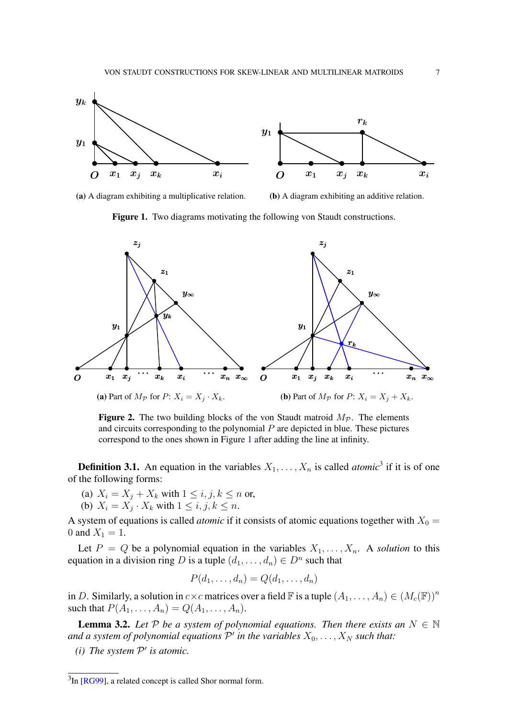<span id="page-6-3"></span><span id="page-6-0"></span>

(a) A diagram exhibiting a multiplicative relation.

(b) A diagram exhibiting an additive relation.



<span id="page-6-1"></span>

**Figure 2.** The two building blocks of the von Staudt matroid  $M_p$ . The elements and circuits corresponding to the polynomial  $P$  are depicted in blue. These pictures correspond to the ones shown in Figure [1](#page-6-0) after adding the line at infinity.

**Definition [3](#page-0-0).1.** An equation in the variables  $X_1, \ldots, X_n$  is called *atomic*<sup>3</sup> if it is of one of the following forms:

- (a)  $X_i = X_j + X_k$  with  $1 \le i, j, k \le n$  or,
- (b)  $X_i = X_j \cdot X_k$  with  $1 \leq i, j, k \leq n$ .

A system of equations is called *atomic* if it consists of atomic equations together with  $X_0 =$ 0 and  $X_1 = 1$ .

Let  $P = Q$  be a polynomial equation in the variables  $X_1, \ldots, X_n$ . A *solution* to this equation in a division ring D is a tuple  $(d_1, \ldots, d_n) \in D^n$  such that

$$
P(d_1,\ldots,d_n)=Q(d_1,\ldots,d_n)
$$

in D. Similarly, a solution in  $c \times c$  matrices over a field  $\mathbb F$  is a tuple  $(A_1, \ldots, A_n) \in (M_c(\mathbb F))^n$ such that  $P(A_1, ..., A_n) = Q(A_1, ..., A_n)$ .

<span id="page-6-2"></span>**Lemma 3.2.** Let  $P$  be a system of polynomial equations. Then there exists an  $N \in \mathbb{N}$ and a system of polynomial equations  $\mathcal{P}'$  in the variables  $X_0, \ldots, X_N$  such that:

*(i) The system*  $P'$  *is atomic.* 

<sup>&</sup>lt;sup>3</sup>In [\[RG99\]](#page-18-14), a related concept is called Shor normal form.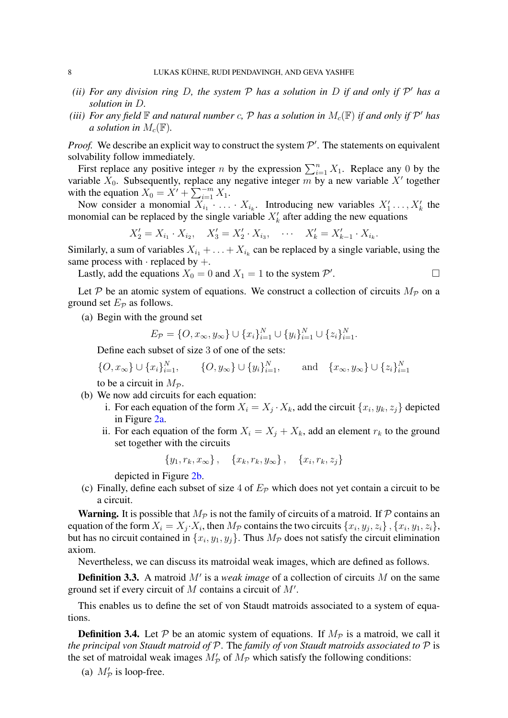- *(ii)* For any division ring D, the system  $P$  has a solution in D if and only if  $P'$  has a *solution in* D*.*
- *(iii)* For any field  $\mathbb F$  and natural number c,  $\mathcal P$  has a solution in  $M_c(\mathbb F)$  if and only if  $\mathcal P'$  has *a* solution in  $M_c(\mathbb{F})$ .

*Proof.* We describe an explicit way to construct the system  $\mathcal{P}'$ . The statements on equivalent solvability follow immediately.

First replace any positive integer n by the expression  $\sum_{i=1}^{n} X_1$ . Replace any 0 by the variable  $X_0$ . Subsequently, replace any negative integer m by a new variable X' together with the equation  $X_0 = X' + \sum_{i=1}^{-m} X_i$ .

Now consider a monomial  $X_{i_1} \cdot \ldots \cdot X_{i_k}$ . Introducing new variables  $X'_1 \ldots, X'_k$  the monomial can be replaced by the single variable  $X'_k$  after adding the new equations

$$
X_2' = X_{i_1} \cdot X_{i_2}, \quad X_3' = X_2' \cdot X_{i_3}, \quad \cdots \quad X_k' = X_{k-1}' \cdot X_{i_k}.
$$

Similarly, a sum of variables  $X_{i_1} + \ldots + X_{i_k}$  can be replaced by a single variable, using the same process with  $\cdot$  replaced by  $+$ .

Lastly, add the equations  $X_0 = 0$  and  $X_1 = 1$  to the system  $\mathcal{P}'$ .

Let P be an atomic system of equations. We construct a collection of circuits  $M_p$  on a ground set  $E_p$  as follows.

(a) Begin with the ground set

$$
E_{\mathcal{P}} = \{O, x_{\infty}, y_{\infty}\} \cup \{x_i\}_{i=1}^N \cup \{y_i\}_{i=1}^N \cup \{z_i\}_{i=1}^N.
$$

Define each subset of size 3 of one of the sets:

$$
\{O, x_{\infty}\} \cup \{x_i\}_{i=1}^N, \qquad \{O, y_{\infty}\} \cup \{y_i\}_{i=1}^N, \qquad \text{and} \quad \{x_{\infty}, y_{\infty}\} \cup \{z_i\}_{i=1}^N
$$

to be a circuit in  $M_p$ .

- (b) We now add circuits for each equation:
	- i. For each equation of the form  $X_i = X_j \cdot X_k$ , add the circuit  $\{x_i, y_k, z_j\}$  depicted in Figure [2a.](#page-6-1)
	- ii. For each equation of the form  $X_i = X_j + X_k$ , add an element  $r_k$  to the ground set together with the circuits

$$
\{y_1, r_k, x_\infty\}, \quad \{x_k, r_k, y_\infty\}, \quad \{x_i, r_k, z_j\}
$$

depicted in Figure [2b.](#page-6-1)

(c) Finally, define each subset of size 4 of  $E_{\mathcal{P}}$  which does not yet contain a circuit to be a circuit.

**Warning.** It is possible that  $M_p$  is not the family of circuits of a matroid. If P contains an equation of the form  $X_i = X_j \cdot X_i$ , then  $M_p$  contains the two circuits  $\{x_i, y_j, z_i\}$ ,  $\{x_i, y_1, z_i\}$ , but has no circuit contained in  $\{x_i, y_1, y_j\}$ . Thus  $M_{\mathcal{P}}$  does not satisfy the circuit elimination axiom.

Nevertheless, we can discuss its matroidal weak images, which are defined as follows.

**Definition 3.3.** A matroid  $M'$  is a *weak image* of a collection of circuits M on the same ground set if every circuit of  $M$  contains a circuit of  $M'$ .

This enables us to define the set of von Staudt matroids associated to a system of equations.

<span id="page-7-0"></span>**Definition 3.4.** Let P be an atomic system of equations. If  $M_p$  is a matroid, we call it *the principal von Staudt matroid of* P. The *family of von Staudt matroids associated to* P is the set of matroidal weak images  $M_p'$  of  $M_p$  which satisfy the following conditions:

(a)  $M'_P$  is loop-free.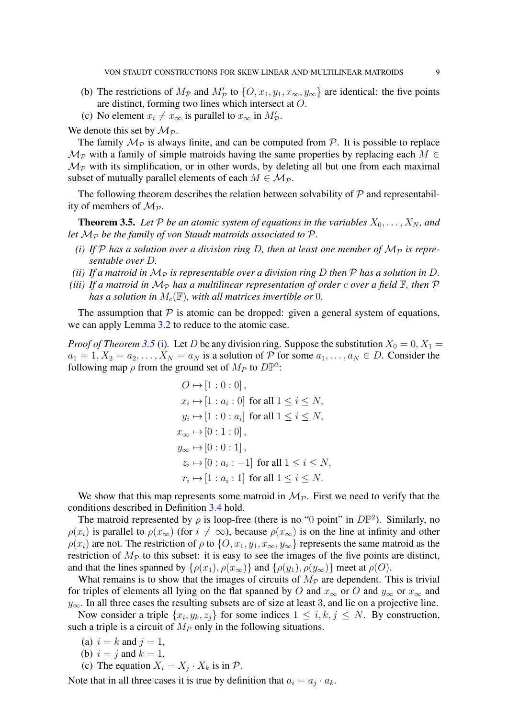- (b) The restrictions of  $M_p$  and  $M'_p$  to  $\{O, x_1, y_1, x_\infty, y_\infty\}$  are identical: the five points are distinct, forming two lines which intersect at O.
- (c) No element  $x_i \neq x_\infty$  is parallel to  $x_\infty$  in  $M'_p$ .

We denote this set by  $\mathcal{M}_{\mathcal{P}}$ .

The family  $\mathcal{M}_{\mathcal{P}}$  is always finite, and can be computed from  $\mathcal{P}$ . It is possible to replace  $\mathcal{M}_{\mathcal{P}}$  with a family of simple matroids having the same properties by replacing each  $M \in$  $\mathcal{M}_{\mathcal{P}}$  with its simplification, or in other words, by deleting all but one from each maximal subset of mutually parallel elements of each  $M \in \mathcal{M}_{\mathcal{P}}$ .

The following theorem describes the relation between solvability of  $P$  and representability of members of  $M_p$ .

<span id="page-8-0"></span>**Theorem 3.5.** Let P be an atomic system of equations in the variables  $X_0, \ldots, X_N$ , and *let*  $M_{\mathcal{P}}$  *be the family of von Staudt matroids associated to*  $\mathcal{P}$ *.* 

- <span id="page-8-1"></span>*(i)* If P has a solution over a division ring D, then at least one member of  $M_p$  is repre*sentable over* D*.*
- <span id="page-8-2"></span>*(ii)* If a matroid in  $\mathcal{M}_{\mathcal{P}}$  is representable over a division ring D then  $\mathcal P$  has a solution in D.
- <span id="page-8-3"></span>*(iii)* If a matroid in  $\mathcal{M}_{\mathcal{P}}$  has a multilinear representation of order c over a field  $\mathbb{F}$ , then  $\mathcal{P}$ *has a solution in*  $M_c(\mathbb{F})$ *, with all matrices invertible or* 0*.*

The assumption that  $\mathcal P$  is atomic can be dropped: given a general system of equations, we can apply Lemma [3.2](#page-6-2) to reduce to the atomic case.

*Proof of Theorem* [3.5](#page-8-0) [\(i\)](#page-8-1). Let D be any division ring. Suppose the substitution  $X_0 = 0, X_1 = 0$  $a_1 = 1, X_2 = a_2, \ldots, X_N = a_N$  is a solution of P for some  $a_1, \ldots, a_N \in D$ . Consider the following map  $\rho$  from the ground set of  $M_P$  to  $D\mathbb{P}^2$ :

$$
O \mapsto [1:0:0],
$$
  
\n
$$
x_i \mapsto [1:a_i:0] \text{ for all } 1 \le i \le N,
$$
  
\n
$$
y_i \mapsto [1:0:a_i] \text{ for all } 1 \le i \le N,
$$
  
\n
$$
x_{\infty} \mapsto [0:1:0],
$$
  
\n
$$
y_{\infty} \mapsto [0:0:1],
$$
  
\n
$$
z_i \mapsto [0:a_i:-1] \text{ for all } 1 \le i \le N,
$$
  
\n
$$
r_i \mapsto [1:a_i:1] \text{ for all } 1 \le i \le N.
$$

We show that this map represents some matroid in  $\mathcal{M}_{\mathcal{P}}$ . First we need to verify that the conditions described in Definition [3.4](#page-7-0) hold.

The matroid represented by  $\rho$  is loop-free (there is no "0 point" in  $D\mathbb{P}^2$ ). Similarly, no  $\rho(x_i)$  is parallel to  $\rho(x_{\infty})$  (for  $i \neq \infty$ ), because  $\rho(x_{\infty})$  is on the line at infinity and other  $\rho(x_i)$  are not. The restriction of  $\rho$  to  $\{O, x_1, y_1, x_\infty, y_\infty\}$  represents the same matroid as the restriction of  $M_p$  to this subset: it is easy to see the images of the five points are distinct, and that the lines spanned by  $\{\rho(x_1), \rho(x_\infty)\}\$  and  $\{\rho(y_1), \rho(y_\infty)\}\$  meet at  $\rho(O)$ .

What remains is to show that the images of circuits of  $M_p$  are dependent. This is trivial for triples of elements all lying on the flat spanned by O and  $x_{\infty}$  or O and  $y_{\infty}$  or  $x_{\infty}$  and  $y_{\infty}$ . In all three cases the resulting subsets are of size at least 3, and lie on a projective line.

Now consider a triple  $\{x_i, y_k, z_j\}$  for some indices  $1 \leq i, k, j \leq N$ . By construction, such a triple is a circuit of  $M_P$  only in the following situations.

- (a)  $i = k$  and  $j = 1$ ,
- (b)  $i = j$  and  $k = 1$ ,
- (c) The equation  $X_i = X_j \cdot X_k$  is in  $P$ .

Note that in all three cases it is true by definition that  $a_i = a_j \cdot a_k$ .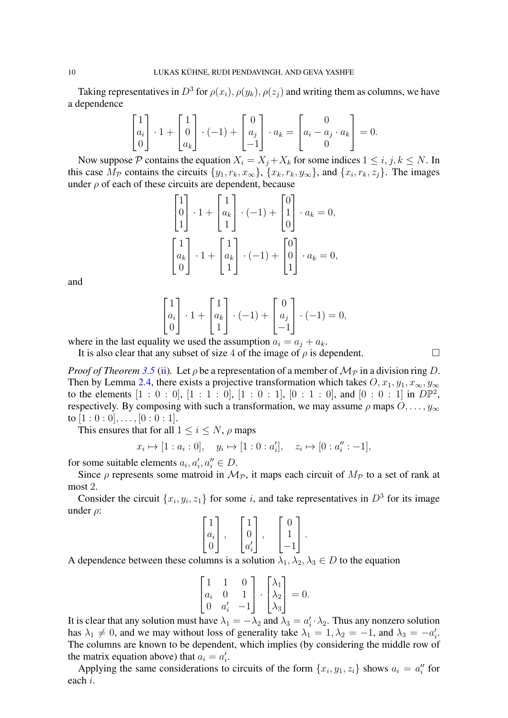Taking representatives in  $D^3$  for  $\rho(x_i)$ ,  $\rho(y_k)$ ,  $\rho(z_j)$  and writing them as columns, we have a dependence

$$
\begin{bmatrix} 1 \\ a_i \\ 0 \end{bmatrix} \cdot 1 + \begin{bmatrix} 1 \\ 0 \\ a_k \end{bmatrix} \cdot (-1) + \begin{bmatrix} 0 \\ a_j \\ -1 \end{bmatrix} \cdot a_k = \begin{bmatrix} 0 \\ a_i - a_j \cdot a_k \\ 0 \end{bmatrix} = 0.
$$

Now suppose P contains the equation  $X_i = X_j + X_k$  for some indices  $1 \le i, j, k \le N$ . In this case  $M_P$  contains the circuits  $\{y_1, r_k, x_\infty\}$ ,  $\{x_k, r_k, y_\infty\}$ , and  $\{x_i, r_k, z_j\}$ . The images under  $\rho$  of each of these circuits are dependent, because

$$
\begin{bmatrix} 1 \\ 0 \\ 1 \end{bmatrix} \cdot 1 + \begin{bmatrix} 1 \\ a_k \\ 1 \end{bmatrix} \cdot (-1) + \begin{bmatrix} 0 \\ 1 \\ 0 \end{bmatrix} \cdot a_k = 0,
$$
  

$$
\begin{bmatrix} 1 \\ a_k \\ 0 \end{bmatrix} \cdot 1 + \begin{bmatrix} 1 \\ a_k \\ 1 \end{bmatrix} \cdot (-1) + \begin{bmatrix} 0 \\ 0 \\ 1 \end{bmatrix} \cdot a_k = 0,
$$

and

$$
\begin{bmatrix} 1 \\ a_i \\ 0 \end{bmatrix} \cdot 1 + \begin{bmatrix} 1 \\ a_k \\ 1 \end{bmatrix} \cdot (-1) + \begin{bmatrix} 0 \\ a_j \\ -1 \end{bmatrix} \cdot (-1) = 0,
$$

where in the last equality we used the assumption  $a_i = a_j + a_k$ .

It is also clear that any subset of size 4 of the image of  $\rho$  is dependent.

*Proof of Theorem [3.5](#page-8-0)* [\(ii\)](#page-8-2). Let  $\rho$  be a representation of a member of  $M_p$  in a division ring D. Then by Lemma [2.4,](#page-4-0) there exists a projective transformation which takes  $O, x_1, y_1, x_\infty, y_\infty$ to the elements  $[1 : 0 : 0]$ ,  $[1 : 1 : 0]$ ,  $[1 : 0 : 1]$ ,  $[0 : 1 : 0]$ , and  $[0 : 0 : 1]$  in  $D\mathbb{P}^2$ , respectively. By composing with such a transformation, we may assume  $\rho$  maps  $O, \ldots, y_{\infty}$ to  $[1:0:0], \ldots, [0:0:1].$ 

This ensures that for all  $1 \le i \le N$ ,  $\rho$  maps

$$
z_i \mapsto [1 : a_i : 0], \quad y_i \mapsto [1 : 0 : a'_i], \quad z_i \mapsto [0 : a''_i : -1],
$$

for some suitable elements  $a_i, a'_i, a''_i \in D$ .

 $\Omega$ 

Since  $\rho$  represents some matroid in  $\mathcal{M}_{\mathcal{P}}$ , it maps each circuit of  $M_{\mathcal{P}}$  to a set of rank at most 2.

Consider the circuit  $\{x_i, y_i, z_1\}$  for some i, and take representatives in  $D^3$  for its image under  $\rho$ :

$$
\begin{bmatrix} 1 \\ a_i \\ 0 \end{bmatrix}, \quad \begin{bmatrix} 1 \\ 0 \\ a'_i \end{bmatrix}, \quad \begin{bmatrix} 0 \\ 1 \\ -1 \end{bmatrix}.
$$

A dependence between these columns is a solution  $\lambda_1, \lambda_2, \lambda_3 \in D$  to the equation

$$
\begin{bmatrix} 1 & 1 & 0 \\ a_i & 0 & 1 \\ 0 & a'_i & -1 \end{bmatrix} \cdot \begin{bmatrix} \lambda_1 \\ \lambda_2 \\ \lambda_3 \end{bmatrix} = 0.
$$

It is clear that any solution must have  $\lambda_1 = -\lambda_2$  and  $\lambda_3 = a'_i \cdot \lambda_2$ . Thus any nonzero solution has  $\lambda_1 \neq 0$ , and we may without loss of generality take  $\lambda_1 = 1, \lambda_2 = -1$ , and  $\lambda_3 = -a'_i$ . The columns are known to be dependent, which implies (by considering the middle row of the matrix equation above) that  $a_i = a'_i$ .

Applying the same considerations to circuits of the form  $\{x_i, y_1, z_i\}$  shows  $a_i = a''_i$  for each i.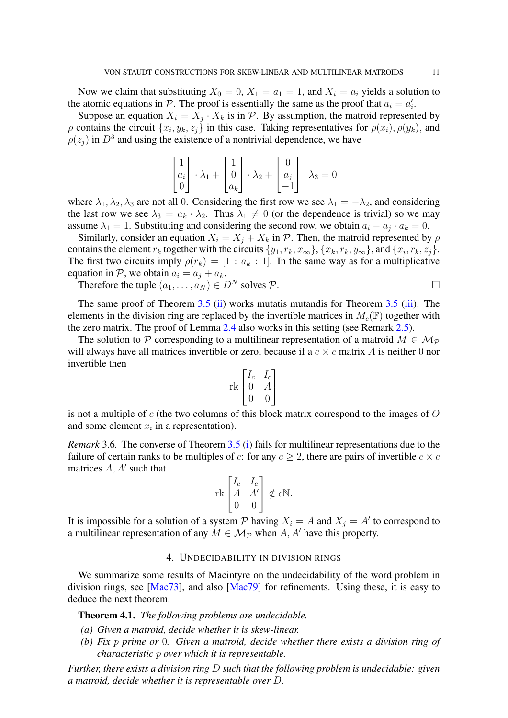<span id="page-10-2"></span>Now we claim that substituting  $X_0 = 0$ ,  $X_1 = a_1 = 1$ , and  $X_i = a_i$  yields a solution to the atomic equations in P. The proof is essentially the same as the proof that  $a_i = a'_i$ .

Suppose an equation  $X_i = X_j \cdot X_k$  is in P. By assumption, the matroid represented by  $\rho$  contains the circuit  $\{x_i, y_k, z_j\}$  in this case. Taking representatives for  $\rho(x_i)$ ,  $\rho(y_k)$ , and  $\rho(z_j)$  in  $D^3$  and using the existence of a nontrivial dependence, we have

$$
\begin{bmatrix} 1 \\ a_i \\ 0 \end{bmatrix} \cdot \lambda_1 + \begin{bmatrix} 1 \\ 0 \\ a_k \end{bmatrix} \cdot \lambda_2 + \begin{bmatrix} 0 \\ a_j \\ -1 \end{bmatrix} \cdot \lambda_3 = 0
$$

where  $\lambda_1, \lambda_2, \lambda_3$  are not all 0. Considering the first row we see  $\lambda_1 = -\lambda_2$ , and considering the last row we see  $\lambda_3 = a_k \cdot \lambda_2$ . Thus  $\lambda_1 \neq 0$  (or the dependence is trivial) so we may assume  $\lambda_1 = 1$ . Substituting and considering the second row, we obtain  $a_i - a_j \cdot a_k = 0$ .

Similarly, consider an equation  $X_i = X_j + X_k$  in  $P$ . Then, the matroid represented by  $\rho$ contains the element  $r_k$  together with the circuits  $\{y_1, r_k, x_\infty\}$ ,  $\{x_k, r_k, y_\infty\}$ , and  $\{x_i, r_k, z_j\}$ . The first two circuits imply  $\rho(r_k) = [1 : a_k : 1]$ . In the same way as for a multiplicative equation in P, we obtain  $a_i = a_j + a_k$ .

Therefore the tuple  $(a_1, \ldots, a_N) \in D^N$  solves  $P$ .

The same proof of Theorem [3.5](#page-8-0) [\(ii\)](#page-8-2) works mutatis mutandis for Theorem 3.5 [\(iii\)](#page-8-3). The elements in the division ring are replaced by the invertible matrices in  $M_c(\mathbb{F})$  together with the zero matrix. The proof of Lemma [2.4](#page-4-0) also works in this setting (see Remark [2.5\)](#page-4-1).

The solution to P corresponding to a multilinear representation of a matroid  $M \in \mathcal{M}_{\mathcal{P}}$ will always have all matrices invertible or zero, because if a  $c \times c$  matrix A is neither 0 nor invertible then

$$
\operatorname{rk}\begin{bmatrix}I_c & I_c\\0 & A\\0 & 0\end{bmatrix}
$$

is not a multiple of  $c$  (the two columns of this block matrix correspond to the images of  $O$ and some element  $x_i$  in a representation).

*Remark* 3.6*.* The converse of Theorem [3.5](#page-8-0) [\(i\)](#page-8-1) fails for multilinear representations due to the failure of certain ranks to be multiples of c: for any  $c \geq 2$ , there are pairs of invertible  $c \times c$ matrices  $A, A'$  such that

$$
\operatorname{rk}\begin{bmatrix}I_c & I_c\\ A & A'\\ 0 & 0\end{bmatrix} \notin c\mathbb{N}.
$$

It is impossible for a solution of a system  $P$  having  $X_i = A$  and  $X_j = A'$  to correspond to a multilinear representation of any  $M \in \mathcal{M}_{\mathcal{P}}$  when A, A' have this property.

### 4. UNDECIDABILITY IN DIVISION RINGS

<span id="page-10-0"></span>We summarize some results of Macintyre on the undecidability of the word problem in division rings, see [\[Mac73\]](#page-18-3), and also [\[Mac79\]](#page-18-4) for refinements. Using these, it is easy to deduce the next theorem.

<span id="page-10-1"></span>Theorem 4.1. *The following problems are undecidable.*

- *(a) Given a matroid, decide whether it is skew-linear.*
- *(b) Fix* p *prime or* 0*. Given a matroid, decide whether there exists a division ring of characteristic* p *over which it is representable.*

*Further, there exists a division ring* D *such that the following problem is undecidable: given a matroid, decide whether it is representable over* D*.*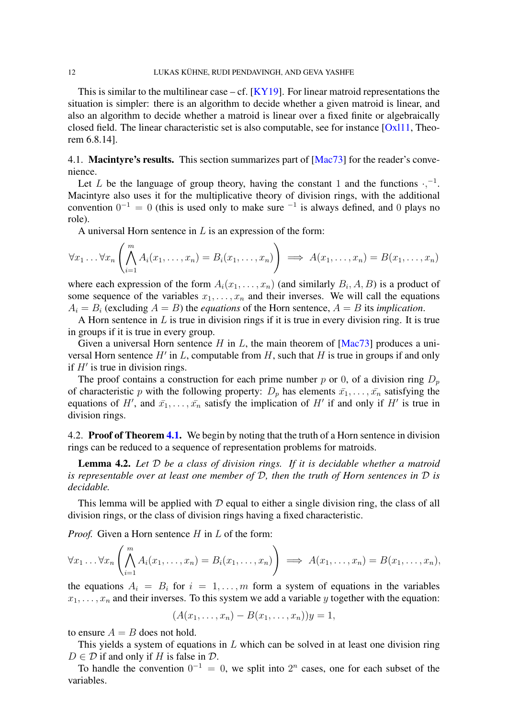<span id="page-11-1"></span>This is similar to the multilinear case – cf.  $[KY19]$ . For linear matroid representations the situation is simpler: there is an algorithm to decide whether a given matroid is linear, and also an algorithm to decide whether a matroid is linear over a fixed finite or algebraically closed field. The linear characteristic set is also computable, see for instance [\[Oxl11,](#page-18-12) Theorem 6.8.14].

4.1. **Macintyre's results.** This section summarizes part of [\[Mac73\]](#page-18-3) for the reader's convenience.

Let L be the language of group theory, having the constant 1 and the functions  $\cdot$ ,  $^{-1}$ . Macintyre also uses it for the multiplicative theory of division rings, with the additional convention  $0^{-1} = 0$  (this is used only to make sure  $^{-1}$  is always defined, and 0 plays no role).

A universal Horn sentence in  $L$  is an expression of the form:

$$
\forall x_1 \dots \forall x_n \left( \bigwedge_{i=1}^m A_i(x_1, \dots, x_n) = B_i(x_1, \dots, x_n) \right) \implies A(x_1, \dots, x_n) = B(x_1, \dots, x_n)
$$

where each expression of the form  $A_i(x_1, \ldots, x_n)$  (and similarly  $B_i, A, B$ ) is a product of some sequence of the variables  $x_1, \ldots, x_n$  and their inverses. We will call the equations  $A_i = B_i$  (excluding  $A = B$ ) the *equations* of the Horn sentence,  $A = B$  its *implication*.

A Horn sentence in  $L$  is true in division rings if it is true in every division ring. It is true in groups if it is true in every group.

Given a universal Horn sentence H in L, the main theorem of  $[Mac73]$  produces a universal Horn sentence  $H'$  in L, computable from  $H$ , such that  $H$  is true in groups if and only if  $H'$  is true in division rings.

The proof contains a construction for each prime number p or 0, of a division ring  $D_p$ of characteristic p with the following property:  $D_p$  has elements  $\bar{x_1}, \ldots, \bar{x_n}$  satisfying the equations of H', and  $\bar{x_1}, \ldots, \bar{x_n}$  satisfy the implication of H' if and only if H' is true in division rings.

4.2. Proof of Theorem [4.1.](#page-10-1) We begin by noting that the truth of a Horn sentence in division rings can be reduced to a sequence of representation problems for matroids.

<span id="page-11-0"></span>Lemma 4.2. *Let* D *be a class of division rings. If it is decidable whether a matroid is representable over at least one member of* D*, then the truth of Horn sentences in* D *is decidable.*

This lemma will be applied with  $D$  equal to either a single division ring, the class of all division rings, or the class of division rings having a fixed characteristic.

*Proof.* Given a Horn sentence H in L of the form:

$$
\forall x_1 \ldots \forall x_n \left( \bigwedge_{i=1}^m A_i(x_1, \ldots, x_n) = B_i(x_1, \ldots, x_n) \right) \implies A(x_1, \ldots, x_n) = B(x_1, \ldots, x_n),
$$

the equations  $A_i = B_i$  for  $i = 1, ..., m$  form a system of equations in the variables  $x_1, \ldots, x_n$  and their inverses. To this system we add a variable y together with the equation:

$$
(A(x_1,\ldots,x_n)-B(x_1,\ldots,x_n))y=1,
$$

to ensure  $A = B$  does not hold.

This yields a system of equations in  $L$  which can be solved in at least one division ring  $D \in \mathcal{D}$  if and only if H is false in  $\mathcal{D}$ .

To handle the convention  $0^{-1} = 0$ , we split into  $2^n$  cases, one for each subset of the variables.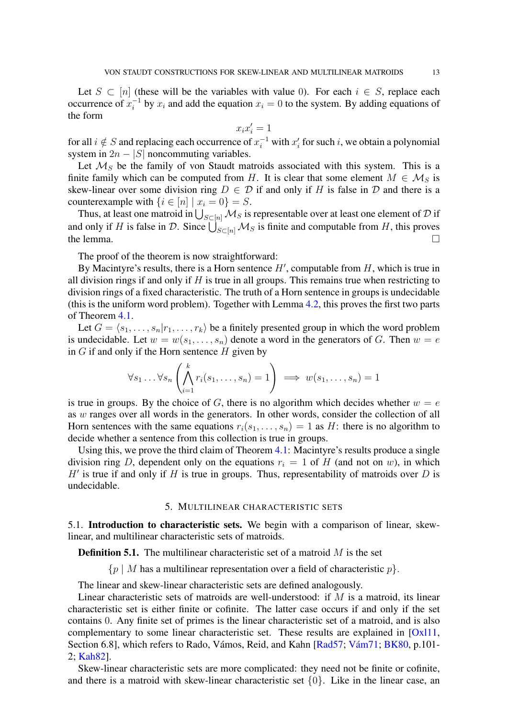<span id="page-12-1"></span>Let  $S \subset [n]$  (these will be the variables with value 0). For each  $i \in S$ , replace each occurrence of  $x_i^{-1}$  $i<sup>-1</sup>$  by  $x<sub>i</sub>$  and add the equation  $x<sub>i</sub> = 0$  to the system. By adding equations of the form

$$
x_ix_i'=1
$$

for all  $i \notin S$  and replacing each occurrence of  $x_i^{-1}$  with  $x_i'$  for such i, we obtain a polynomial system in  $2n - |S|$  noncommuting variables.

Let  $\mathcal{M}_S$  be the family of von Staudt matroids associated with this system. This is a finite family which can be computed from H. It is clear that some element  $M \in \mathcal{M}_S$  is skew-linear over some division ring  $D \in \mathcal{D}$  if and only if H is false in  $\mathcal D$  and there is a counterexample with  $\{i \in [n] \mid x_i = 0\} = S$ .

Thus, at least one matroid in  $\bigcup_{S\subset [n]}{\cal M}_S$  is representable over at least one element of  ${\cal D}$  if and only if H is false in D. Since  $\bigcup_{S\subset [n]} \mathcal{M}_S$  is finite and computable from H, this proves the lemma.  $\Box$ 

The proof of the theorem is now straightforward:

By Macintyre's results, there is a Horn sentence  $H'$ , computable from  $H$ , which is true in all division rings if and only if  $H$  is true in all groups. This remains true when restricting to division rings of a fixed characteristic. The truth of a Horn sentence in groups is undecidable (this is the uniform word problem). Together with Lemma [4.2,](#page-11-0) this proves the first two parts of Theorem [4.1.](#page-10-1)

Let  $G = \langle s_1, \ldots, s_n | r_1, \ldots, r_k \rangle$  be a finitely presented group in which the word problem is undecidable. Let  $w = w(s_1, \ldots, s_n)$  denote a word in the generators of G. Then  $w = e$ in  $G$  if and only if the Horn sentence  $H$  given by

$$
\forall s_1 \dots \forall s_n \left( \bigwedge_{i=1}^k r_i(s_1, \dots, s_n) = 1 \right) \implies w(s_1, \dots, s_n) = 1
$$

is true in groups. By the choice of G, there is no algorithm which decides whether  $w = e$ as w ranges over all words in the generators. In other words, consider the collection of all Horn sentences with the same equations  $r_i(s_1, \ldots, s_n) = 1$  as H: there is no algorithm to decide whether a sentence from this collection is true in groups.

Using this, we prove the third claim of Theorem [4.1:](#page-10-1) Macintyre's results produce a single division ring D, dependent only on the equations  $r_i = 1$  of H (and not on w), in which  $H'$  is true if and only if H is true in groups. Thus, representability of matroids over D is undecidable.

## 5. MULTILINEAR CHARACTERISTIC SETS

<span id="page-12-0"></span>5.1. Introduction to characteristic sets. We begin with a comparison of linear, skewlinear, and multilinear characteristic sets of matroids.

**Definition 5.1.** The multilinear characteristic set of a matroid  $M$  is the set

 ${p \mid M}$  has a multilinear representation over a field of characteristic  $p$ .

The linear and skew-linear characteristic sets are defined analogously.

Linear characteristic sets of matroids are well-understood: if  $M$  is a matroid, its linear characteristic set is either finite or cofinite. The latter case occurs if and only if the set contains 0. Any finite set of primes is the linear characteristic set of a matroid, and is also complementary to some linear characteristic set. These results are explained in [\[Oxl11,](#page-18-12) Section 6.8], which refers to Rado, Vámos, Reid, and Kahn [\[Rad57;](#page-18-15) [Vám71;](#page-18-16) [BK80,](#page-17-4) p.101- 2; [Kah82\]](#page-18-17).

Skew-linear characteristic sets are more complicated: they need not be finite or cofinite, and there is a matroid with skew-linear characteristic set  $\{0\}$ . Like in the linear case, an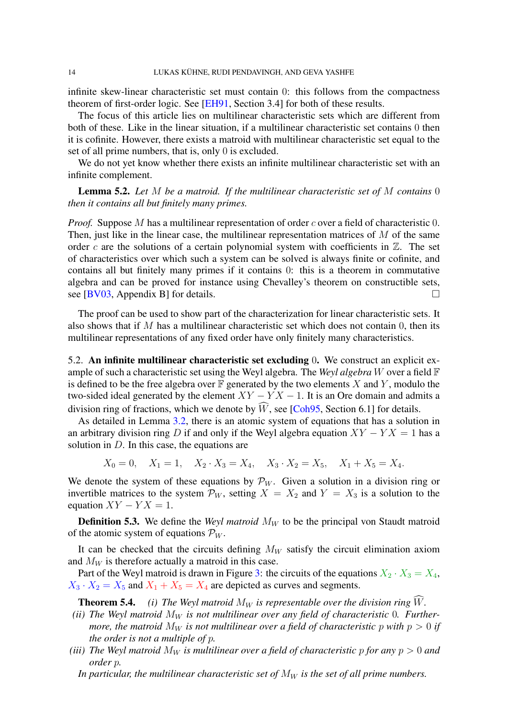<span id="page-13-2"></span>infinite skew-linear characteristic set must contain 0: this follows from the compactness theorem of first-order logic. See [\[EH91,](#page-17-0) Section 3.4] for both of these results.

The focus of this article lies on multilinear characteristic sets which are different from both of these. Like in the linear situation, if a multilinear characteristic set contains 0 then it is cofinite. However, there exists a matroid with multilinear characteristic set equal to the set of all prime numbers, that is, only 0 is excluded.

We do not yet know whether there exists an infinite multilinear characteristic set with an infinite complement.

Lemma 5.2. *Let* M *be a matroid. If the multilinear characteristic set of* M *contains* 0 *then it contains all but finitely many primes.*

*Proof.* Suppose M has a multilinear representation of order c over a field of characteristic 0. Then, just like in the linear case, the multilinear representation matrices of  $M$  of the same order c are the solutions of a certain polynomial system with coefficients in  $\mathbb{Z}$ . The set of characteristics over which such a system can be solved is always finite or cofinite, and contains all but finitely many primes if it contains 0: this is a theorem in commutative algebra and can be proved for instance using Chevalley's theorem on constructible sets, see [\[BV03,](#page-17-5) Appendix B] for details.  $\square$ 

The proof can be used to show part of the characterization for linear characteristic sets. It also shows that if M has a multilinear characteristic set which does not contain  $0$ , then its multilinear representations of any fixed order have only finitely many characteristics.

5.2. An infinite multilinear characteristic set excluding 0. We construct an explicit example of such a characteristic set using the Weyl algebra. The *Weyl algebra* W over a field F is defined to be the free algebra over  $\mathbb F$  generated by the two elements X and Y, modulo the two-sided ideal generated by the element  $XY - YX - 1$ . It is an Ore domain and admits a division ring of fractions, which we denote by  $\widehat{W}$ , see [\[Coh95,](#page-17-6) Section 6.1] for details.

As detailed in Lemma [3.2,](#page-6-2) there is an atomic system of equations that has a solution in an arbitrary division ring D if and only if the Weyl algebra equation  $XY - YX = 1$  has a solution in  $D$ . In this case, the equations are

$$
X_0 = 0
$$
,  $X_1 = 1$ ,  $X_2 \cdot X_3 = X_4$ ,  $X_3 \cdot X_2 = X_5$ ,  $X_1 + X_5 = X_4$ .

We denote the system of these equations by  $\mathcal{P}_W$ . Given a solution in a division ring or invertible matrices to the system  $\mathcal{P}_W$ , setting  $X = X_2$  and  $Y = X_3$  is a solution to the equation  $XY - YX = 1$ .

**Definition 5.3.** We define the *Weyl matroid*  $M_W$  to be the principal von Staudt matroid of the atomic system of equations  $\mathcal{P}_W$ .

It can be checked that the circuits defining  $M_W$  satisfy the circuit elimination axiom and  $M_W$  is therefore actually a matroid in this case.

Part of the Weyl matroid is drawn in Figure [3:](#page-14-0) the circuits of the equations  $X_2 \cdot X_3 = X_4$ ,  $X_3 \cdot X_2 = X_5$  and  $X_1 + X_5 = X_4$  are depicted as curves and segments.

<span id="page-13-1"></span>**Theorem 5.4.** *(i) The Weyl matroid*  $M_W$  *is representable over the division ring*  $\widehat{W}$ *.* 

- (*ii*) The Weyl matroid  $M_W$  is not multilinear over any field of characteristic 0. Further*more, the matroid*  $M_W$  *is not multilinear over a field of characteristic* p with  $p > 0$  *if the order is not a multiple of* p*.*
- <span id="page-13-0"></span>*(iii)* The Weyl matroid  $M_W$  is multilinear over a field of characteristic p for any  $p > 0$  and *order* p*.*
	- In particular, the multilinear characteristic set of  $M_W$  is the set of all prime numbers.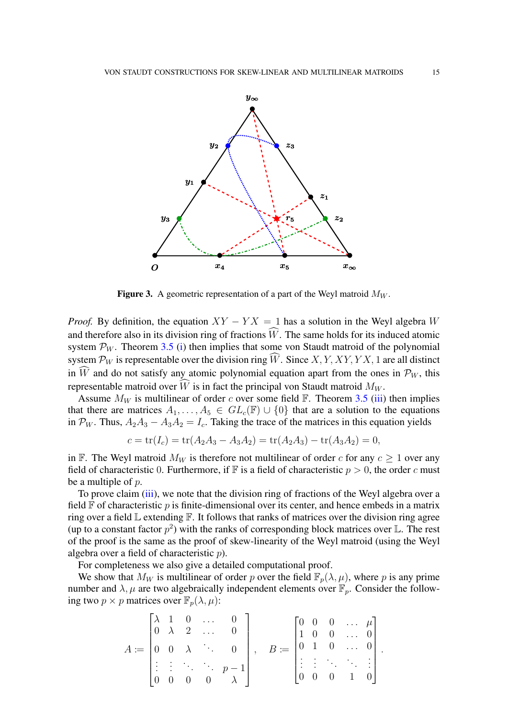<span id="page-14-0"></span>

**Figure 3.** A geometric representation of a part of the Weyl matroid  $M_W$ .

*Proof.* By definition, the equation  $XY - YX = 1$  has a solution in the Weyl algebra W and therefore also in its division ring of fractions  $\widehat{W}$ . The same holds for its induced atomic system  $\mathcal{P}_W$ . Theorem [3.5](#page-8-0) [\(i\)](#page-8-1) then implies that some von Staudt matroid of the polynomial system  $\mathcal{P}_W$  is representable over the division ring  $\widehat{W}$ . Since X, Y, XY, YX, 1 are all distinct in  $\widehat{W}$  and do not satisfy any atomic polynomial equation apart from the ones in  $\mathcal{P}_W$ , this representable matroid over  $\hat{W}$  is in fact the principal von Staudt matroid  $M_W$ .

Assume  $M_W$  is multilinear of order c over some field F. Theorem [3.5](#page-8-0) [\(iii\)](#page-8-3) then implies that there are matrices  $A_1, \ldots, A_5 \in GL_c(\mathbb{F}) \cup \{0\}$  that are a solution to the equations in  $\mathcal{P}_W$ . Thus,  $A_2A_3 - A_3A_2 = I_c$ . Taking the trace of the matrices in this equation yields

$$
c = \text{tr}(I_c) = \text{tr}(A_2A_3 - A_3A_2) = \text{tr}(A_2A_3) - \text{tr}(A_3A_2) = 0,
$$

in F. The Weyl matroid  $M_W$  is therefore not multilinear of order c for any  $c \geq 1$  over any field of characteristic 0. Furthermore, if  $\mathbb F$  is a field of characteristic  $p > 0$ , the order c must be a multiple of p.

To prove claim [\(iii\)](#page-13-0), we note that the division ring of fractions of the Weyl algebra over a field  $\mathbb F$  of characteristic p is finite-dimensional over its center, and hence embeds in a matrix ring over a field  $\mathbb L$  extending  $\mathbb F$ . It follows that ranks of matrices over the division ring agree (up to a constant factor  $p^2$ ) with the ranks of corresponding block matrices over L. The rest of the proof is the same as the proof of skew-linearity of the Weyl matroid (using the Weyl algebra over a field of characteristic p).

For completeness we also give a detailed computational proof.

We show that  $M_W$  is multilinear of order p over the field  $\mathbb{F}_p(\lambda, \mu)$ , where p is any prime number and  $\lambda, \mu$  are two algebraically independent elements over  $\mathbb{F}_p$ . Consider the following two  $p \times p$  matrices over  $\mathbb{F}_p(\lambda, \mu)$ :

$$
A := \begin{bmatrix} \lambda & 1 & 0 & \cdots & 0 \\ 0 & \lambda & 2 & \cdots & 0 \\ 0 & 0 & \lambda & \ddots & 0 \\ \vdots & \vdots & \ddots & \ddots & p-1 \\ 0 & 0 & 0 & 0 & \lambda \end{bmatrix}, \quad B := \begin{bmatrix} 0 & 0 & 0 & \cdots & \mu \\ 1 & 0 & 0 & \cdots & 0 \\ 0 & 1 & 0 & \cdots & 0 \\ \vdots & \vdots & \ddots & \ddots & \vdots \\ 0 & 0 & 0 & 1 & 0 \end{bmatrix}.
$$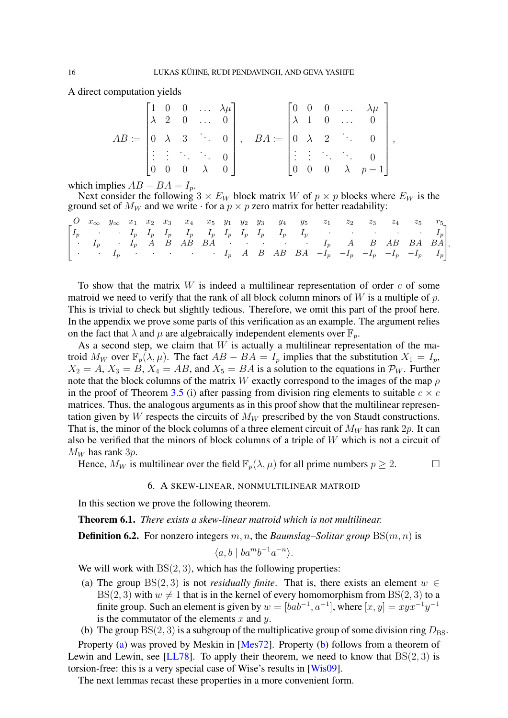<span id="page-15-4"></span>A direct computation yields

$$
AB := \begin{bmatrix} 1 & 0 & 0 & \dots & \lambda \mu \\ \lambda & 2 & 0 & \dots & 0 \\ 0 & \lambda & 3 & \ddots & 0 \\ \vdots & \vdots & \ddots & \ddots & 0 \\ 0 & 0 & 0 & \lambda & 0 \end{bmatrix}, \quad BA := \begin{bmatrix} 0 & 0 & 0 & \dots & \lambda \mu \\ \lambda & 1 & 0 & \dots & 0 \\ 0 & \lambda & 2 & \ddots & 0 \\ \vdots & \vdots & \ddots & \ddots & 0 \\ 0 & 0 & 0 & \lambda & p-1 \end{bmatrix},
$$

which implies  $AB - BA = I_p$ .

Next consider the following  $3 \times E_W$  block matrix W of  $p \times p$  blocks where  $E_W$  is the ground set of  $M_W$  and we write  $\cdot$  for a  $p \times p$  zero matrix for better readability:

|  |  |  |  |  |  | $\begin{bmatrix} 0 & x_{\infty} & y_{\infty} & x_1 & x_2 & x_3 & x_4 & x_5 & y_1 & y_2 & y_3 & y_4 & y_5 & z_1 & z_2 & z_3 & z_4 & z_5 & r_5 \end{bmatrix}$          |  |  |  |
|--|--|--|--|--|--|----------------------------------------------------------------------------------------------------------------------------------------------------------------------|--|--|--|
|  |  |  |  |  |  |                                                                                                                                                                      |  |  |  |
|  |  |  |  |  |  | $\begin{bmatrix} \cdot & I_p & \cdot & I_p & A & B & AB & BA & \cdot & \cdot & \cdot & \cdot & \cdot & I_p & A & B & AB & BA & BA \end{bmatrix}$                     |  |  |  |
|  |  |  |  |  |  | $\begin{vmatrix} \cdot & \cdot & I_p & \cdot & \cdot & \cdot & \cdot & \cdot & \cdot & I_p & A & B & AB & BA & -I_p & -I_p & -I_p & -I_p & -I_p & I_p \end{vmatrix}$ |  |  |  |

To show that the matrix  $W$  is indeed a multilinear representation of order  $c$  of some matroid we need to verify that the rank of all block column minors of  $W$  is a multiple of  $p$ . This is trivial to check but slightly tedious. Therefore, we omit this part of the proof here. In the appendix we prove some parts of this verification as an example. The argument relies on the fact that  $\lambda$  and  $\mu$  are algebraically independent elements over  $\mathbb{F}_n$ .

As a second step, we claim that  $W$  is actually a multilinear representation of the matroid  $M_W$  over  $\mathbb{F}_p(\lambda,\mu)$ . The fact  $AB - BA = I_p$  implies that the substitution  $X_1 = I_p$ ,  $X_2 = A$ ,  $X_3 = B$ ,  $X_4 = AB$ , and  $X_5 = BA$  is a solution to the equations in  $\mathcal{P}_W$ . Further note that the block columns of the matrix W exactly correspond to the images of the map  $\rho$ in the proof of Theorem [3.5](#page-8-0) [\(i\)](#page-8-1) after passing from division ring elements to suitable  $c \times c$ matrices. Thus, the analogous arguments as in this proof show that the multilinear representation given by W respects the circuits of  $M_W$  prescribed by the von Staudt constructions. That is, the minor of the block columns of a three element circuit of  $M_W$  has rank  $2p$ . It can also be verified that the minors of block columns of a triple of  $W$  which is not a circuit of  $M_W$  has rank 3*p*.

<span id="page-15-0"></span>Hence,  $M_W$  is multilinear over the field  $\mathbb{F}_p(\lambda, \mu)$  for all prime numbers  $p \geq 2$ .

#### 6. A SKEW-LINEAR, NONMULTILINEAR MATROID

In this section we prove the following theorem.

<span id="page-15-3"></span>Theorem 6.1. *There exists a skew-linear matroid which is not multilinear.*

**Definition 6.2.** For nonzero integers  $m, n$ , the *Baumslag–Solitar group*  $BS(m, n)$  is

$$
\langle a, b \mid ba^m b^{-1} a^{-n} \rangle.
$$

We will work with  $BS(2, 3)$ , which has the following properties:

- <span id="page-15-1"></span>(a) The group  $BS(2, 3)$  is not *residually finite*. That is, there exists an element  $w \in$ BS(2, 3) with  $w \neq 1$  that is in the kernel of every homomorphism from BS(2, 3) to a finite group. Such an element is given by  $w = [bab^{-1}, a^{-1}]$ , where  $[x, y] = xyx^{-1}y^{-1}$ is the commutator of the elements  $x$  and  $y$ .
- <span id="page-15-2"></span>(b) The group  $BS(2, 3)$  is a subgroup of the multiplicative group of some division ring  $D_{BS}$ .

Property [\(a\)](#page-15-1) was proved by Meskin in [Mes<sub>72]</sub>. Property [\(b\)](#page-15-2) follows from a theorem of Lewin and Lewin, see [\[LL78\]](#page-18-19). To apply their theorem, we need to know that  $BS(2, 3)$  is torsion-free: this is a very special case of Wise's results in [\[Wis09\]](#page-18-20).

The next lemmas recast these properties in a more convenient form.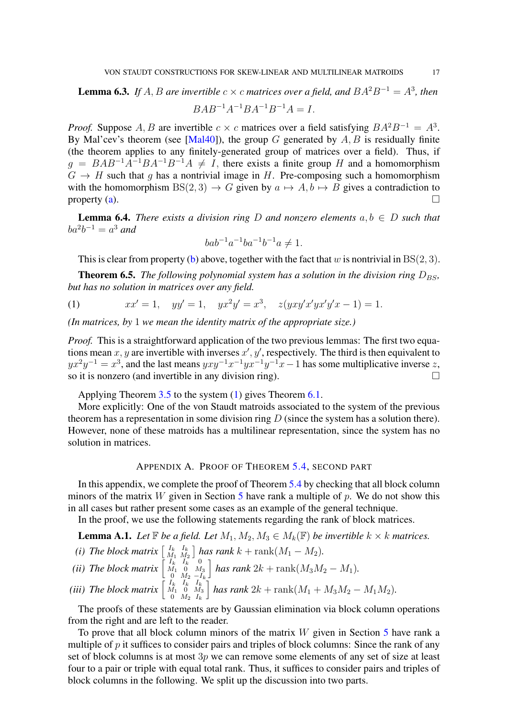<span id="page-16-6"></span>**Lemma 6.3.** If  $A$ ,  $B$  are invertible  $c \times c$  matrices over a field, and  $BA^2B^{-1} = A^3$ , then

$$
BAB^{-1}A^{-1}BA^{-1}B^{-1}A = I.
$$

*Proof.* Suppose A, B are invertible  $c \times c$  matrices over a field satisfying  $BA^2B^{-1} = A^3$ . By Mal'cev's theorem (see [\[Mal40\]](#page-18-21)), the group G generated by  $A, B$  is residually finite (the theorem applies to any finitely-generated group of matrices over a field). Thus, if  $g = BAB^{-1}A^{-1}BA^{-1}B^{-1}A \neq I$ , there exists a finite group H and a homomorphism  $G \rightarrow H$  such that q has a nontrivial image in H. Pre-composing such a homomorphism with the homomorphism BS(2, 3)  $\rightarrow G$  given by  $a \mapsto A$ ,  $b \mapsto B$  gives a contradiction to property (a). property [\(a\)](#page-15-1).  $\Box$ 

**Lemma 6.4.** *There exists a division ring* D *and nonzero elements*  $a, b \in D$  *such that*  $ba^2b^{-1} = a^3$  and

$$
bab^{-1}a^{-1}ba^{-1}b^{-1}a \neq 1.
$$

This is clear from property [\(b\)](#page-15-2) above, together with the fact that w is nontrivial in  $BS(2, 3)$ .

<span id="page-16-0"></span>**Theorem 6.5.** *The following polynomial system has a solution in the division ring*  $D_{BS}$ , *but has no solution in matrices over any field.*

<span id="page-16-1"></span>(1)  $xx' = 1$ ,  $yy' = 1$ ,  $yx^2y' = x^3$ ,  $z(yxy'x'yx'y'x - 1) = 1$ .

*(In matrices, by* 1 *we mean the identity matrix of the appropriate size.)*

*Proof.* This is a straightforward application of the two previous lemmas: The first two equations mean  $x, y$  are invertible with inverses  $x', y'$ , respectively. The third is then equivalent to  $yx^2y^{-1} = x^3$ , and the last means  $yxy^{-1}x^{-1}yx^{-1}y^{-1}x - 1$  has some multiplicative inverse z, so it is nonzero (and invertible in any division ring).  $\Box$ 

Applying Theorem [3.5](#page-8-0) to the system [\(1\)](#page-16-1) gives Theorem [6.1.](#page-15-3)

More explicitly: One of the von Staudt matroids associated to the system of the previous theorem has a representation in some division ring  $D$  (since the system has a solution there). However, none of these matroids has a multilinear representation, since the system has no solution in matrices.

## APPENDIX A. PROOF OF THEOREM [5.4,](#page-13-1) SECOND PART

In this appendix, we complete the proof of Theorem [5.4](#page-13-1) by checking that all block column minors of the matrix W given in Section [5](#page-12-0) have rank a multiple of p. We do not show this in all cases but rather present some cases as an example of the general technique.

In the proof, we use the following statements regarding the rank of block matrices.

<span id="page-16-4"></span><span id="page-16-3"></span><span id="page-16-2"></span>**Lemma A.1.** Let  $\mathbb F$  *be a field. Let*  $M_1, M_2, M_3 \in M_k(\mathbb F)$  *be invertible*  $k \times k$  *matrices. (i)* The block matrix  $\begin{bmatrix} I_k & I_k \\ M_1 & M_2 \end{bmatrix}$  $\left[\begin{array}{c} I_k & I_k \ M_1 & M_2 \end{array}\right]$  has rank  $k + \text{rank}(M_1 - M_2)$ . *(ii)* The block matrix  $\begin{bmatrix} I_k & I_k & 0 \\ M_1 & 0 & M_3 \end{bmatrix}$ 0  $M_2 - I_k$  $\int$  *has rank* 2k + rank $(M_3M_2 - M_1)$ *. (iii)* The block matrix  $\begin{bmatrix} I_k & I_k & I_k \\ M_1 & 0 & M_3 \end{bmatrix}$  $0 \thinspace M_2 \thinspace I_k$  $\int$  *has rank* 2k + rank $(M_1 + M_3M_2 - M_1M_2)$ *.* 

<span id="page-16-5"></span>The proofs of these statements are by Gaussian elimination via block column operations from the right and are left to the reader.

To prove that all block column minors of the matrix  $W$  given in Section [5](#page-12-0) have rank a multiple of  $p$  it suffices to consider pairs and triples of block columns: Since the rank of any set of block columns is at most 3p we can remove some elements of any set of size at least four to a pair or triple with equal total rank. Thus, it suffices to consider pairs and triples of block columns in the following. We split up the discussion into two parts.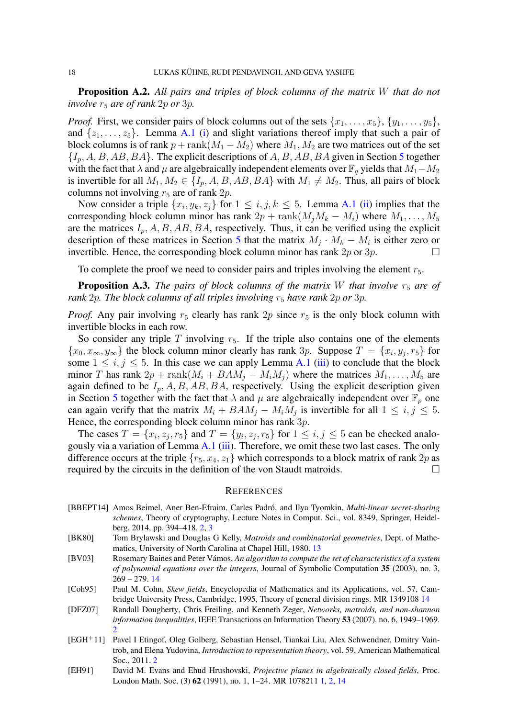Proposition A.2. *All pairs and triples of block columns of the matrix* W *that do not involve*  $r_5$  *are of rank*  $2p$  *or*  $3p$ *.* 

*Proof.* First, we consider pairs of block columns out of the sets  $\{x_1, \ldots, x_5\}$ ,  $\{y_1, \ldots, y_5\}$ , and  $\{z_1, \ldots, z_5\}$ . Lemma [A.1](#page-16-2) [\(i\)](#page-16-3) and slight variations thereof imply that such a pair of block columns is of rank  $p + \text{rank}(M_1 - M_2)$  where  $M_1, M_2$  are two matrices out of the set  ${I_n, A, B, AB, BA}$ . The explicit descriptions of A, B, AB, BA given in Section [5](#page-12-0) together with the fact that  $\lambda$  and  $\mu$  are algebraically independent elements over  $\mathbb{F}_q$  yields that  $M_1-M_2$ is invertible for all  $M_1, M_2 \in \{I_p, A, B, AB, BA\}$  with  $M_1 \neq M_2$ . Thus, all pairs of block columns not involving  $r_5$  are of rank  $2p$ .

Now consider a triple  $\{x_i, y_k, z_j\}$  for  $1 \leq i, j, k \leq 5$ . Lemma [A.1](#page-16-2) [\(ii\)](#page-16-4) implies that the corresponding block column minor has rank  $2p + \text{rank}(M_iM_k - M_i)$  where  $M_1, \ldots, M_5$ are the matrices  $I_p$ , A, B, AB, BA, respectively. Thus, it can be verified using the explicit description of these matrices in Section [5](#page-12-0) that the matrix  $M_j \cdot M_k - M_i$  is either zero or invertible. Hence, the corresponding block column minor has rank  $2p$  or  $3p$ .

To complete the proof we need to consider pairs and triples involving the element  $r_5$ .

**Proposition A.3.** *The pairs of block columns of the matrix W that involve*  $r_5$  *are of rank* 2p. The block columns of all triples involving  $r_5$  have rank 2p or 3p.

*Proof.* Any pair involving  $r_5$  clearly has rank  $2p$  since  $r_5$  is the only block column with invertible blocks in each row.

So consider any triple  $T$  involving  $r<sub>5</sub>$ . If the triple also contains one of the elements  $\{x_0, x_\infty, y_\infty\}$  the block column minor clearly has rank 3p. Suppose  $T = \{x_i, y_j, r_5\}$  for some  $1 \le i, j \le 5$ . In this case we can apply Lemma [A.1](#page-16-2) [\(iii\)](#page-16-5) to conclude that the block minor T has rank  $2p + \text{rank}(M_i + BAM_j - M_iM_j)$  where the matrices  $M_1, \ldots, M_5$  are again defined to be  $I_p$ , A, B, AB, BA, respectively. Using the explicit description given in Section [5](#page-12-0) together with the fact that  $\lambda$  and  $\mu$  are algebraically independent over  $\mathbb{F}_p$  one can again verify that the matrix  $M_i + BAM_j - M_iM_j$  is invertible for all  $1 \le i, j \le 5$ . Hence, the corresponding block column minor has rank  $3p$ .

The cases  $T = \{x_i, z_j, r_5\}$  and  $T = \{y_i, z_j, r_5\}$  for  $1 \le i, j \le 5$  can be checked analo-gously via a variation of Lemma [A.1](#page-16-2) [\(iii\)](#page-16-5). Therefore, we omit these two last cases. The only difference occurs at the triple  $\{r_5, x_4, z_1\}$  which corresponds to a block matrix of rank  $2p$  as required by the circuits in the definition of the von Staudt matroids. required by the circuits in the definition of the von Staudt matroids.

#### **REFERENCES**

- <span id="page-17-2"></span>[BBEPT14] Amos Beimel, Aner Ben-Efraim, Carles Padró, and Ilya Tyomkin, *Multi-linear secret-sharing schemes*, Theory of cryptography, Lecture Notes in Comput. Sci., vol. 8349, Springer, Heidelberg, 2014, pp. 394–418. [2,](#page-1-1) [3](#page-2-1)
- <span id="page-17-4"></span>[BK80] Tom Brylawski and Douglas G Kelly, *Matroids and combinatorial geometries*, Dept. of Mathematics, University of North Carolina at Chapel Hill, 1980. [13](#page-12-1)
- <span id="page-17-5"></span>[BV03] Rosemary Baines and Peter Vámos, *An algorithm to compute the set of characteristics of a system of polynomial equations over the integers*, Journal of Symbolic Computation 35 (2003), no. 3, 269 – 279. [14](#page-13-2)
- <span id="page-17-6"></span>[Coh95] Paul M. Cohn, *Skew fields*, Encyclopedia of Mathematics and its Applications, vol. 57, Cambridge University Press, Cambridge, 1995, Theory of general division rings. MR 1349108 [14](#page-13-2)
- <span id="page-17-3"></span>[DFZ07] Randall Dougherty, Chris Freiling, and Kenneth Zeger, *Networks, matroids, and non-shannon information inequalities*, IEEE Transactions on Information Theory 53 (2007), no. 6, 1949–1969. [2](#page-1-1)
- <span id="page-17-1"></span>[EGH<sup>+</sup>11] Pavel I Etingof, Oleg Golberg, Sebastian Hensel, Tiankai Liu, Alex Schwendner, Dmitry Vaintrob, and Elena Yudovina, *Introduction to representation theory*, vol. 59, American Mathematical Soc., 2011. [2](#page-1-1)
- <span id="page-17-0"></span>[EH91] David M. Evans and Ehud Hrushovski, *Projective planes in algebraically closed fields*, Proc. London Math. Soc. (3) 62 (1991), no. 1, 1–24. MR 1078211 [1,](#page-0-1) [2,](#page-1-1) [14](#page-13-2)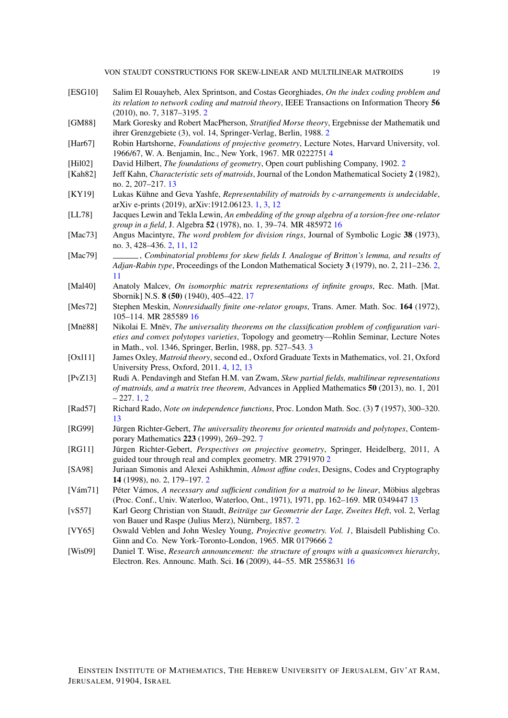- <span id="page-18-7"></span>[ESG10] Salim El Rouayheb, Alex Sprintson, and Costas Georghiades, *On the index coding problem and its relation to network coding and matroid theory*, IEEE Transactions on Information Theory 56 (2010), no. 7, 3187–3195. [2](#page-1-1)
- <span id="page-18-5"></span>[GM88] Mark Goresky and Robert MacPherson, *Stratified Morse theory*, Ergebnisse der Mathematik und ihrer Grenzgebiete (3), vol. 14, Springer-Verlag, Berlin, 1988. [2](#page-1-1)
- <span id="page-18-13"></span>[Har67] Robin Hartshorne, *Foundations of projective geometry*, Lecture Notes, Harvard University, vol. 1966/67, W. A. Benjamin, Inc., New York, 1967. MR 0222751 [4](#page-3-0)
- <span id="page-18-10"></span>[Hil02] David Hilbert, *The foundations of geometry*, Open court publishing Company, 1902. [2](#page-1-1)
- <span id="page-18-17"></span>[Kah82] Jeff Kahn, *Characteristic sets of matroids*, Journal of the London Mathematical Society 2 (1982), no. 2, 207–217. [13](#page-12-1)
- <span id="page-18-0"></span>[KY19] Lukas Kühne and Geva Yashfe, *Representability of matroids by c-arrangements is undecidable*, arXiv e-prints (2019), arXiv:1912.06123. [1,](#page-0-1) [3,](#page-2-1) [12](#page-11-1)
- <span id="page-18-19"></span>[LL78] Jacques Lewin and Tekla Lewin, *An embedding of the group algebra of a torsion-free one-relator group in a field*, J. Algebra 52 (1978), no. 1, 39–74. MR 485972 [16](#page-15-4)
- <span id="page-18-3"></span>[Mac73] Angus Macintyre, *The word problem for division rings*, Journal of Symbolic Logic 38 (1973), no. 3, 428–436. [2,](#page-1-1) [11,](#page-10-2) [12](#page-11-1)
- <span id="page-18-4"></span>[Mac79] , *Combinatorial problems for skew fields I. Analogue of Britton's lemma, and results of Adjan-Rabin type*, Proceedings of the London Mathematical Society 3 (1979), no. 2, 211–236. [2,](#page-1-1) [11](#page-10-2)
- <span id="page-18-21"></span>[Mal40] Anatoly Malcev, *On isomorphic matrix representations of infinite groups*, Rec. Math. [Mat. Sbornik] N.S. 8 (50) (1940), 405–422. [17](#page-16-6)
- <span id="page-18-18"></span>[Mes72] Stephen Meskin, *Nonresidually finite one-relator groups*, Trans. Amer. Math. Soc. 164 (1972), 105–114. MR 285589 [16](#page-15-4)
- <span id="page-18-11"></span>[Mnë88] Nikolai E. Mnëv, *The universality theorems on the classification problem of configuration varieties and convex polytopes varieties*, Topology and geometry—Rohlin Seminar, Lecture Notes in Math., vol. 1346, Springer, Berlin, 1988, pp. 527–543. [3](#page-2-1)
- <span id="page-18-12"></span>[Oxl11] James Oxley, *Matroid theory*, second ed., Oxford Graduate Texts in Mathematics, vol. 21, Oxford University Press, Oxford, 2011. [4,](#page-3-0) [12,](#page-11-1) [13](#page-12-1)
- <span id="page-18-1"></span>[PvZ13] Rudi A. Pendavingh and Stefan H.M. van Zwam, *Skew partial fields, multilinear representations of matroids, and a matrix tree theorem*, Advances in Applied Mathematics 50 (2013), no. 1, 201  $-227.1.2$  $-227.1.2$  $-227.1.2$
- <span id="page-18-15"></span>[Rad57] Richard Rado, *Note on independence functions*, Proc. London Math. Soc. (3) 7 (1957), 300–320. [13](#page-12-1)
- <span id="page-18-14"></span>[RG99] Jürgen Richter-Gebert, *The universality theorems for oriented matroids and polytopes*, Contemporary Mathematics 223 (1999), 269–292. [7](#page-6-3)
- <span id="page-18-8"></span>[RG11] Jürgen Richter-Gebert, *Perspectives on projective geometry*, Springer, Heidelberg, 2011, A guided tour through real and complex geometry. MR 2791970 [2](#page-1-1)
- <span id="page-18-6"></span>[SA98] Juriaan Simonis and Alexei Ashikhmin, *Almost affine codes*, Designs, Codes and Cryptography 14 (1998), no. 2, 179–197. [2](#page-1-1)
- <span id="page-18-16"></span>[Vám71] Péter Vámos, *A necessary and sufficient condition for a matroid to be linear*, Möbius algebras (Proc. Conf., Univ. Waterloo, Waterloo, Ont., 1971), 1971, pp. 162–169. MR 0349447 [13](#page-12-1)
- <span id="page-18-2"></span>[vS57] Karl Georg Christian von Staudt, *Beiträge zur Geometrie der Lage, Zweites Heft*, vol. 2, Verlag von Bauer und Raspe (Julius Merz), Nürnberg, 1857. [2](#page-1-1)
- <span id="page-18-9"></span>[VY65] Oswald Veblen and John Wesley Young, *Projective geometry. Vol. 1*, Blaisdell Publishing Co. Ginn and Co. New York-Toronto-London, 1965. MR 0179666 [2](#page-1-1)
- <span id="page-18-20"></span>[Wis09] Daniel T. Wise, *Research announcement: the structure of groups with a quasiconvex hierarchy*, Electron. Res. Announc. Math. Sci. 16 (2009), 44–55. MR 2558631 [16](#page-15-4)